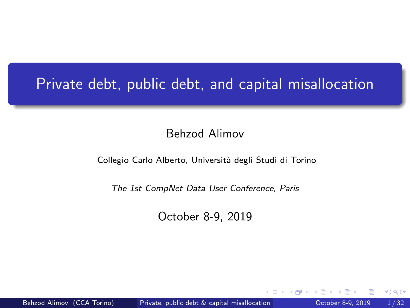# <span id="page-0-0"></span>Private debt, public debt, and capital misallocation

#### Behzod Alimov

#### Collegio Carlo Alberto, Università degli Studi di Torino

#### The 1st CompNet Data User Conference, Paris

October 8-9, 2019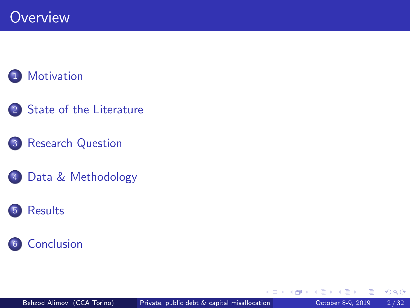#### **[Motivation](#page-2-0)**

- 2 [State of the Literature](#page-9-0)
- 3 [Research Question](#page-14-0)
- 4 [Data & Methodology](#page-15-0)

#### 5 [Results](#page-20-0)



э

 $\leftarrow$   $\Box$ 

同→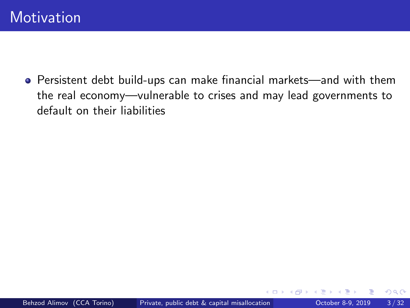<span id="page-2-0"></span>Persistent debt build-ups can make financial markets—and with them the real economy—vulnerable to crises and may lead governments to default on their liabilities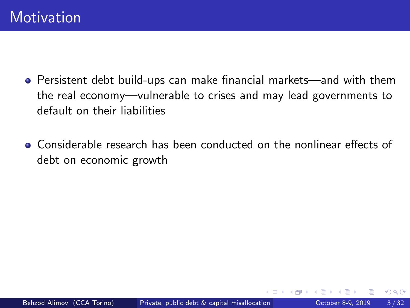- Persistent debt build-ups can make financial markets—and with them the real economy—vulnerable to crises and may lead governments to default on their liabilities
- Considerable research has been conducted on the nonlinear effects of debt on economic growth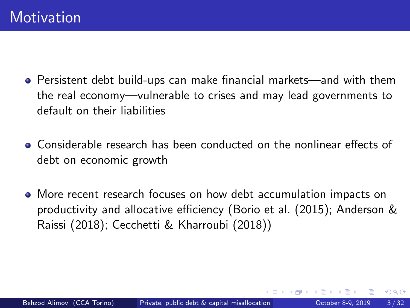- Persistent debt build-ups can make financial markets—and with them the real economy—vulnerable to crises and may lead governments to default on their liabilities
- Considerable research has been conducted on the nonlinear effects of debt on economic growth
- More recent research focuses on how debt accumulation impacts on productivity and allocative efficiency [\(Borio et al. \(2015\)](#page-35-0); [Anderson &](#page-35-1) [Raissi \(2018\)](#page-35-1); [Cecchetti & Kharroubi \(2018\)](#page-36-0))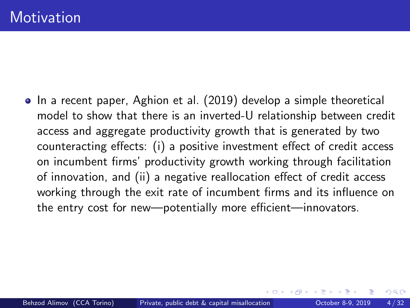• In a recent paper, [Aghion et al. \(2019\)](#page-35-2) develop a simple theoretical model to show that there is an inverted-U relationship between credit access and aggregate productivity growth that is generated by two counteracting effects: (i) a positive investment effect of credit access on incumbent firms' productivity growth working through facilitation of innovation, and (ii) a negative reallocation effect of credit access working through the exit rate of incumbent firms and its influence on the entry cost for new—potentially more efficient—innovators.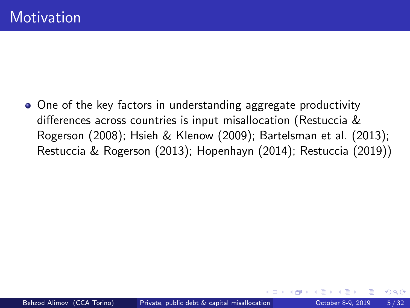• One of the key factors in understanding aggregate productivity differences across countries is input misallocation [\(Restuccia &](#page-38-0) [Rogerson \(2008\)](#page-38-0); [Hsieh & Klenow \(2009\)](#page-37-0); [Bartelsman et al. \(2013\)](#page-35-3); [Restuccia & Rogerson \(2013\)](#page-38-1); [Hopenhayn \(2014\)](#page-36-1); [Restuccia \(2019\)](#page-38-2))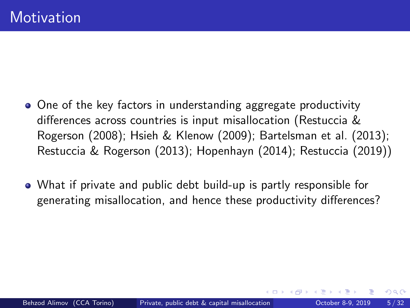- One of the key factors in understanding aggregate productivity differences across countries is input misallocation [\(Restuccia &](#page-38-0) [Rogerson \(2008\)](#page-38-0); [Hsieh & Klenow \(2009\)](#page-37-0); [Bartelsman et al. \(2013\)](#page-35-3); [Restuccia & Rogerson \(2013\)](#page-38-1); [Hopenhayn \(2014\)](#page-36-1); [Restuccia \(2019\)](#page-38-2))
- What if private and public debt build-up is partly responsible for generating misallocation, and hence these productivity differences?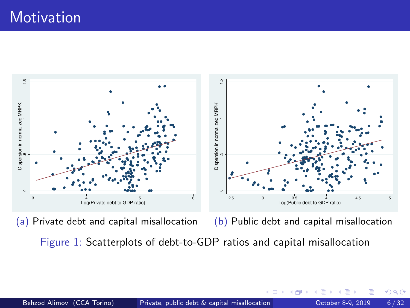# **Motivation**



(a) Private debt and capital misallocation

(b) Public debt and capital misallocation

 $\Omega$ 

Figure 1: Scatterplots of debt-to-GDP ratios and capital misallocation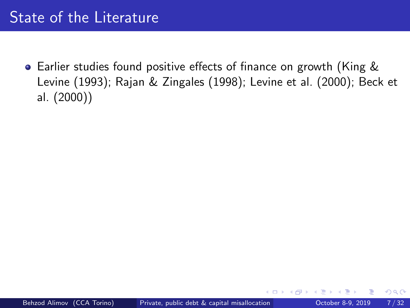# <span id="page-9-0"></span>State of the Literature

Earlier studies found positive effects of finance on growth [\(King &](#page-37-1) [Levine \(1993\)](#page-37-1); [Rajan & Zingales \(1998\)](#page-38-3); [Levine et al. \(2000\)](#page-38-4); [Beck et](#page-35-4) [al. \(2000\)](#page-35-4))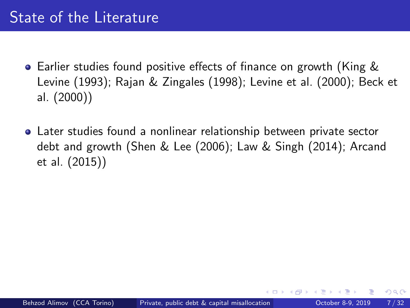# State of the Literature

- Earlier studies found positive effects of finance on growth [\(King &](#page-37-1) [Levine \(1993\)](#page-37-1); [Rajan & Zingales \(1998\)](#page-38-3); [Levine et al. \(2000\)](#page-38-4); [Beck et](#page-35-4) [al. \(2000\)](#page-35-4))
- Later studies found a nonlinear relationship between private sector debt and growth [\(Shen & Lee \(2006\)](#page-39-0); [Law & Singh \(2014\)](#page-37-2); [Arcand](#page-35-5) [et al. \(2015\)](#page-35-5))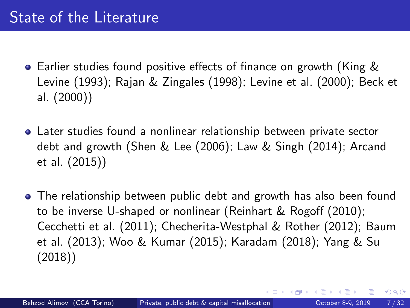# State of the Literature

- Earlier studies found positive effects of finance on growth [\(King &](#page-37-1) [Levine \(1993\)](#page-37-1); [Rajan & Zingales \(1998\)](#page-38-3); [Levine et al. \(2000\)](#page-38-4); [Beck et](#page-35-4) [al. \(2000\)](#page-35-4))
- Later studies found a nonlinear relationship between private sector debt and growth [\(Shen & Lee \(2006\)](#page-39-0); [Law & Singh \(2014\)](#page-37-2); [Arcand](#page-35-5) [et al. \(2015\)](#page-35-5))
- The relationship between public debt and growth has also been found to be inverse U-shaped or nonlinear [\(Reinhart & Rogoff \(2010\)](#page-38-5); [Cecchetti et al. \(2011\)](#page-36-2); [Checherita-Westphal & Rother \(2012\)](#page-36-3); [Baum](#page-35-6) [et al. \(2013\)](#page-35-6); [Woo & Kumar \(2015\)](#page-39-1); [Karadam \(2018\)](#page-37-3); [Yang & Su](#page-39-2) [\(2018\)](#page-39-2))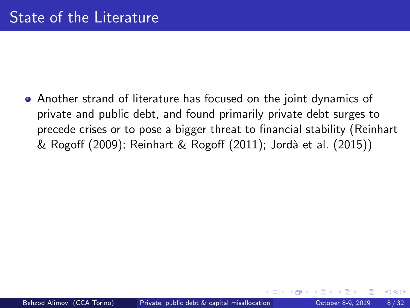Another strand of literature has focused on the joint dynamics of private and public debt, and found primarily private debt surges to precede crises or to pose a bigger threat to financial stability [\(Reinhart](#page-38-6) [& Rogoff \(2009\)](#page-38-6); [Reinhart & Rogoff \(2011\)](#page-38-7); Jordà et al. (2015))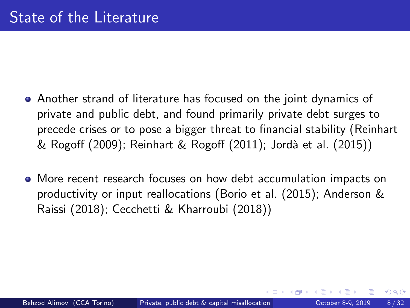- Another strand of literature has focused on the joint dynamics of private and public debt, and found primarily private debt surges to precede crises or to pose a bigger threat to financial stability [\(Reinhart](#page-38-6) [& Rogoff \(2009\)](#page-38-6); [Reinhart & Rogoff \(2011\)](#page-38-7); Jordà et al. (2015))
- More recent research focuses on how debt accumulation impacts on productivity or input reallocations [\(Borio et al. \(2015\)](#page-35-0); [Anderson &](#page-35-1) [Raissi \(2018\)](#page-35-1); [Cecchetti & Kharroubi \(2018\)](#page-36-0))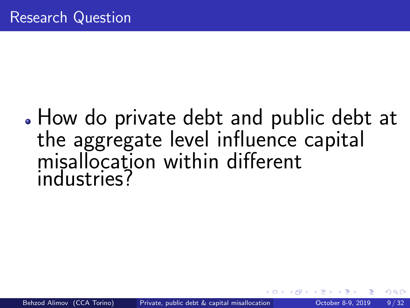# <span id="page-14-0"></span>How do private debt and public debt at the aggregate level influence capital misallocation within different industries?

つひい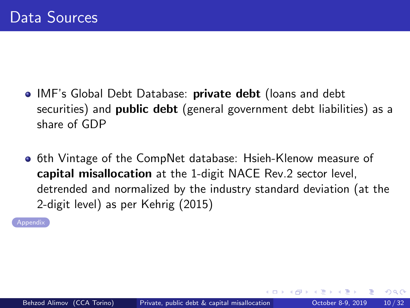- <span id="page-15-0"></span>• IMF's Global Debt Database: private debt (loans and debt securities) and **public debt** (general government debt liabilities) as a share of GDP
- **6th Vintage of the CompNet database: Hsieh-Klenow measure of** capital misallocation at the 1-digit NACE Rev.2 sector level, detrended and normalized by the industry standard deviation (at the 2-digit level) as per [Kehrig \(2015\)](#page-37-5)

[Appendix](#page-40-0)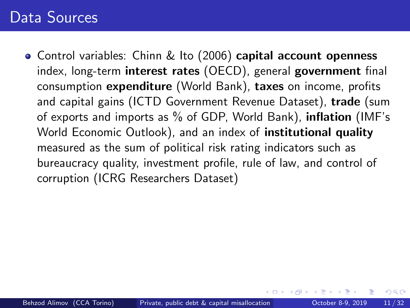# Data Sources

<span id="page-16-0"></span>• Control variables: [Chinn & Ito \(2006\)](#page-36-4) capital account openness index, long-term interest rates (OECD), general government final consumption expenditure (World Bank), taxes on income, profits and capital gains (ICTD Government Revenue Dataset), trade (sum of exports and imports as % of GDP, World Bank), inflation (IMF's World Economic Outlook), and an index of **institutional quality** measured as the sum of political risk rating indicators such as bureaucracy quality, investment profile, rule of law, and control of corruption (ICRG Researchers Dataset)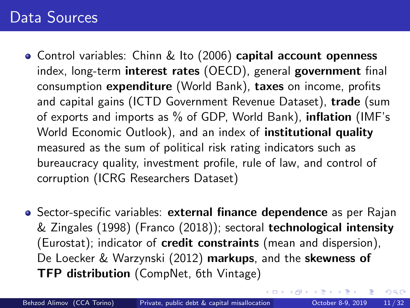# Data Sources

- Control variables: [Chinn & Ito \(2006\)](#page-36-4) capital account openness index, long-term interest rates (OECD), general government final consumption expenditure (World Bank), taxes on income, profits and capital gains (ICTD Government Revenue Dataset), trade (sum of exports and imports as % of GDP, World Bank), inflation (IMF's World Economic Outlook), and an index of institutional quality measured as the sum of political risk rating indicators such as bureaucracy quality, investment profile, rule of law, and control of corruption (ICRG Researchers Dataset)
- Sector-specific variables: external finance dependence as per [Rajan](#page-38-3) [& Zingales \(1998\)](#page-38-3) [\(Franco \(2018\)](#page-36-5)); sectoral technological intensity (Eurostat); indicator of credit constraints (mean and dispersion), [De Loecker & Warzynski \(2012\)](#page-36-6) markups, and the skewness of TFP distribution (CompNet, 6th Vintage)

 $\Omega$ 

( ロ ) ( <sub>何</sub> ) ( ヨ ) ( ヨ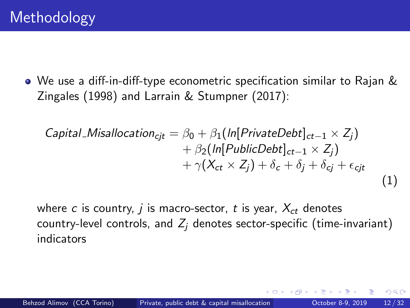We use a diff-in-diff-type econometric specification similar to [Rajan &](#page-38-3) [Zingales \(1998\)](#page-38-3) and [Larrain & Stumpner \(2017\)](#page-37-6):

Capital Misallocation<sub>cjt</sub> = 
$$
\beta_0 + \beta_1 \left( \ln[\text{PrivateDebt}]_{ct-1} \times Z_j \right) + \beta_2 \left( \ln[\text{PublicDebt}]_{ct-1} \times Z_j \right) + \gamma \left( X_{ct} \times Z_j \right) + \delta_c + \delta_j + \delta_{cj} + \epsilon_{cjt}
$$
\n(1)

where c is country, j is macro-sector, t is year,  $X_{ct}$  denotes country-level controls, and  $Z_i$  denotes sector-specific (time-invariant) indicators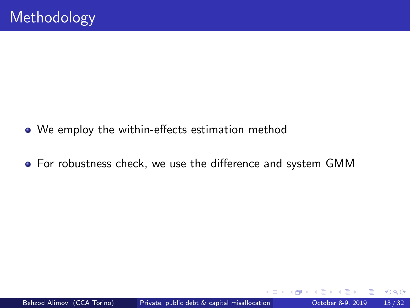- We employ the within-effects estimation method
- For robustness check, we use the difference and system GMM

 $\leftarrow$   $\Box$ 

 $QQ$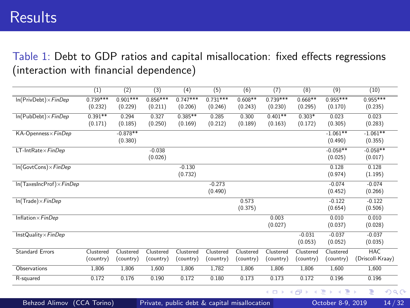<span id="page-20-0"></span>Table 1: Debt to GDP ratios and capital misallocation: fixed effects regressions (interaction with financial dependence)

|                                  | (1)                    | (2)                    | (3)                    | (4)                    | (5)                   | (6)                    | (7)                    | (8)                    | (9)                    | (10)                           |
|----------------------------------|------------------------|------------------------|------------------------|------------------------|-----------------------|------------------------|------------------------|------------------------|------------------------|--------------------------------|
| $In(PrivDebt) \times FinDep$     | $0.739***$<br>(0.232)  | $0.901***$<br>(0.229)  | $0.856***$<br>(0.211)  | $0.747***$<br>(0.206)  | $0.731***$<br>(0.246) | $0.608**$<br>(0.243)   | $0.739***$<br>(0.230)  | $0.668**$<br>(0.295)   | $0.955***$<br>(0.170)  | $0.955***$<br>(0.235)          |
| $In (PubDebt) \times FinDep$     | $0.391**$<br>(0.171)   | 0.294<br>(0.185)       | 0.327<br>(0.250)       | $0.385**$<br>(0.169)   | 0.285<br>(0.212)      | 0.300<br>(0.189)       | $0.401**$<br>(0.163)   | $0.303*$<br>(0.172)    | 0.023<br>(0.305)       | 0.023<br>(0.283)               |
| KA-Openness×FinDep               |                        | $-0.878**$<br>(0.380)  |                        |                        |                       |                        |                        |                        | $-1.061**$<br>(0.490)  | $-1.061**$<br>(0.355)          |
| $LT$ -Int $Rate \times FinDep$   |                        |                        | $-0.038$<br>(0.026)    |                        |                       |                        |                        |                        | $-0.058**$<br>(0.025)  | $-0.058**$<br>(0.017)          |
| $In(GovtCons) \times FinDep$     |                        |                        |                        | $-0.130$<br>(0.732)    |                       |                        |                        |                        | 0.128<br>(0.974)       | 0.128<br>(1.195)               |
| $In(TaxesIncProf) \times FinDep$ |                        |                        |                        |                        | $-0.273$<br>(0.490)   |                        |                        |                        | $-0.074$<br>(0.452)    | $-0.074$<br>(0.266)            |
| $In (Trade) \times FinDep$       |                        |                        |                        |                        |                       | 0.573<br>(0.375)       |                        |                        | $-0.122$<br>(0.654)    | $-0.122$<br>(0.506)            |
| Inflation $\times$ FinDep        |                        |                        |                        |                        |                       |                        | 0.003<br>(0.027)       |                        | 0.010<br>(0.037)       | 0.010<br>(0.028)               |
| InstQuality $\times$ FinDep      |                        |                        |                        |                        |                       |                        |                        | $-0.031$<br>(0.053)    | $-0.037$<br>(0.052)    | $-0.037$<br>(0.035)            |
| <b>Standard Errors</b>           | Clustered<br>(country) | Clustered<br>(country) | Clustered<br>(country) | Clustered<br>(country) | Clustered<br>country) | Clustered<br>(country) | Clustered<br>(country) | Clustered<br>(country) | Clustered<br>(country) | <b>HAC</b><br>(Driscoll-Kraay) |
| Observations                     | 1,806                  | 1,806                  | 1,600                  | 1,806                  | 1,782                 | 1,806                  | 1,806                  | 1,806                  | 1,600                  | 1,600                          |
| R-squared                        | 0.172                  | 0.176                  | 0.190                  | 0.172                  | 0.180                 | 0.173                  | 0.173                  | 0.172                  | 0.196                  | 0.196                          |

( □ ) ( <sub>□</sub> ) (

э  $\blacktriangleright$   $\blacktriangleleft$ ∍ э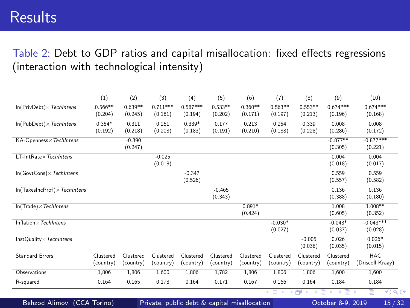### **Results**

Table 2: Debt to GDP ratios and capital misallocation: fixed effects regressions (interaction with technological intensity)

|                                                                                                 | (1)       | (2)       | (3)        | (4)        | (5)       | (6)       | (7)             | (8)                  | (9)                                | (10)                   |
|-------------------------------------------------------------------------------------------------|-----------|-----------|------------|------------|-----------|-----------|-----------------|----------------------|------------------------------------|------------------------|
| $In(PrivDebt) \times Techniques$                                                                | $0.566**$ | $0.639**$ | $0.711***$ | $0.587***$ | $0.533**$ | $0.360**$ | $0.563**$       | $0.553**$            | $0.674***$                         | $0.674***$             |
|                                                                                                 | (0.204)   | (0.245)   | (0.181)    | (0.194)    | (0.202)   | (0.171)   | (0.197)         | (0.213)              | (0.196)                            | (0.168)                |
| $In (PubDebt) \times Techntens$                                                                 | $0.354*$  | 0.311     | 0.251      | $0.339*$   | 0.177     | 0.213     | 0.254           | 0.339                | 0.008                              | 0.008                  |
|                                                                                                 | (0.192)   | (0.218)   | (0.208)    | (0.183)    | (0.191)   | (0.210)   | (0.188)         | (0.228)              | (0.286)                            | (0.172)                |
| KA-Openness × TechIntens                                                                        |           | $-0.390$  |            |            |           |           |                 |                      | $-0.877**$                         | $-0.877***$            |
|                                                                                                 |           | (0.247)   |            |            |           |           |                 |                      | (0.305)                            | (0.221)                |
| $LT$ -Int $Rate \times Techniques$                                                              |           |           | $-0.025$   |            |           |           |                 |                      | 0.004                              | 0.004                  |
|                                                                                                 |           |           | (0.018)    |            |           |           |                 |                      | (0.018)                            | (0.017)                |
| $In(GovtCons) \times Techniques$                                                                |           |           |            | $-0.347$   |           |           |                 |                      | 0.559                              | 0.559                  |
|                                                                                                 |           |           |            | (0.526)    |           |           |                 |                      | (0.557)                            | (0.582)                |
| $ln(TaxeslncProf) \times Techniques$                                                            |           |           |            |            | $-0.465$  |           |                 |                      | 0.136                              | 0.136                  |
|                                                                                                 |           |           |            |            | (0.343)   |           |                 |                      | (0.388)                            | (0.180)                |
| $ln(Trade) \times Techntens$                                                                    |           |           |            |            |           | $0.891*$  |                 |                      | 1.008                              | 1.008**                |
|                                                                                                 |           |           |            |            |           | (0.424)   |                 |                      | (0.605)                            | (0.352)                |
| Inflation $\times$ TechIntens                                                                   |           |           |            |            |           |           | $-0.030*$       |                      | $-0.043*$                          | $-0.043***$            |
|                                                                                                 |           |           |            |            |           |           | (0.027)         |                      | (0.037)                            | (0.028)                |
| $InstQuality \times Techniques$                                                                 |           |           |            |            |           |           |                 | $-0.005$             | 0.026                              | $0.026*$               |
|                                                                                                 |           |           |            |            |           |           |                 | (0.038)              | (0.035)                            | (0.015)                |
| <b>Standard Errors</b>                                                                          | Clustered | Clustered | Clustered  | Clustered  | Clustered | Clustered | Clustered       | Clustered            | Clustered                          | <b>HAC</b>             |
|                                                                                                 | (country) | (country) | (country)  | (country)  | (country) | (country) | (country)       | (country)            | (country)                          | (Driscoll-Kraay)       |
| Observations                                                                                    | 1,806     | 1,806     | 1,600      | 1,806      | 1,782     | 1,806     | 1,806           | 1,806                | 1,600                              | 1,600                  |
| R-squared                                                                                       | 0.164     | 0.165     | 0.178      | 0.164      | 0.171     | 0.167     | 0.166           | 0.164                | 0.184                              | 0.184                  |
|                                                                                                 |           |           |            |            |           |           | 4 0 8<br>$\sim$ | ●▶<br>$\overline{4}$ | э<br>Ξ<br>$\rightarrow$<br>$\prec$ | ∍<br>$\sqrt{a}$<br>- b |
| Behzod Alimov (CCA Torino)<br>Private, public debt & capital misallocation<br>October 8-9, 2019 |           |           |            |            |           |           |                 |                      |                                    | 15/32                  |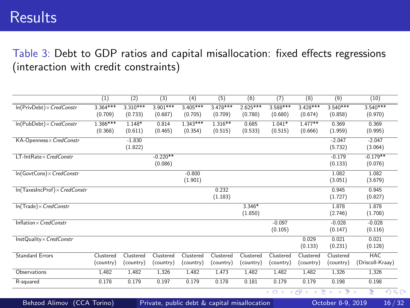### **Results**

Table 3: Debt to GDP ratios and capital misallocation: fixed effects regressions (interaction with credit constraints)

|                                          | (1)        | (2)        | (3)        | (4)                               | (5)       | (6)        | (7)       | (8)            | (9)        | (10)             |
|------------------------------------------|------------|------------|------------|-----------------------------------|-----------|------------|-----------|----------------|------------|------------------|
| $In(PrivDebt) \times CredConstruct$      | $3.364***$ | $3.310***$ | $3.901***$ | $3.405***$                        | 3.478***  | $2.625***$ | 3.588***  | 3 428***       | $3.540***$ | $3.540***$       |
|                                          | (0.709)    | (0.733)    | (0.687)    | (0.705)                           | (0.709)   | (0.780)    | (0.680)   | (0.674)        | (0.858)    | (0.970)          |
| $In (PubDebt) \times CredConstruct$      | $1.386***$ | 1.148*     | 0.814      | $1.343***$                        | $1.316**$ | 0.685      | $1.041*$  | $1.477**$      | 0.369      | 0.369            |
|                                          | (0.368)    | (0.611)    | (0.465)    | (0.354)                           | (0.515)   | (0.533)    | (0.515)   | (0.666)        | (1.959)    | (0.995)          |
| KA-Openness× CredConstr                  |            | $-1.830$   |            |                                   |           |            |           |                | $-2.047$   | $-2.047$         |
|                                          |            | (1.822)    |            |                                   |           |            |           |                | (5.732)    | (3.064)          |
| LT-IntRate×CredConstr                    |            |            | $-0.220**$ |                                   |           |            |           |                | $-0.179$   | $-0.179**$       |
|                                          |            |            | (0.086)    |                                   |           |            |           |                | (0.133)    | (0.076)          |
| $In(GovtCons) \times CredConstruct$      |            |            |            | $-0.800$                          |           |            |           |                | 1.082      | 1.082            |
|                                          |            |            |            | (1.901)                           |           |            |           |                | (3.051)    | (3.679)          |
| $In (TaxesIncProf) \times CredConstruct$ |            |            |            |                                   | 0.232     |            |           |                | 0.945      | 0.945            |
|                                          |            |            |            |                                   | (1.183)   |            |           |                | (1.727)    | (0.827)          |
| $In (Trade) \times CredConstruct$        |            |            |            |                                   |           | 3.346*     |           |                | 1.878      | 1.878            |
|                                          |            |            |            |                                   |           | (1.850)    |           |                | (2.746)    | (1.708)          |
| Inflation $\times$ Cred Constr           |            |            |            |                                   |           |            | $-0.097$  |                | $-0.028$   | $-0.028$         |
|                                          |            |            |            |                                   |           |            | (0.105)   |                | (0.147)    | (0.116)          |
| InstQuality× CredConstr                  |            |            |            |                                   |           |            |           | 0.029          | 0.021      | 0.021            |
|                                          |            |            |            |                                   |           |            |           | (0.133)        | (0.231)    | (0.128)          |
| <b>Standard Errors</b>                   | Clustered  | Clustered  | Clustered  | Clustered                         | Clustered | Clustered  | Clustered | Clustered      | Clustered  | <b>HAC</b>       |
|                                          | (country)  | (country)  | (country)  | (country)                         | (country) | (country)  | (country) | (country)      | (country)  | (Driscoll-Kraay) |
| Observations                             | 1,482      | 1,482      | 1,326      | 1,482                             | 1,473     | 1,482      | 1,482     | 1,482          | 1,326      | 1,326            |
| R-squared                                | 0.178      | 0.179      | 0.197      | 0.179                             | 0.178     | 0.181      | 0.179     | 0.179          | 0.198      | 0.198            |
|                                          |            |            |            |                                   |           |            | 4 0 F     | 一 三<br>- ← 冊 → | メイラ        | э<br>$\Omega$    |
|                                          |            |            |            | and a series of the series of the |           |            |           |                |            |                  |

Behzod Alimov (CCA Torino) [Private, public debt & capital misallocation](#page-0-0) Cortober 8-9, 2019 16/32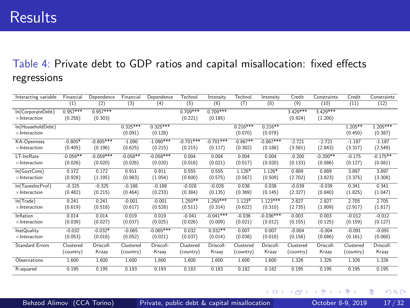#### Table 4: Private debt to GDP ratios and capital misallocation: fixed effects regressions

| Interacting variable   | Financial  | Dependence  | Financial  | Dependence  | Technol     | Intensity   | Technol    | Intensity   | Credit    | Constraints | Credit    | Constraints |
|------------------------|------------|-------------|------------|-------------|-------------|-------------|------------|-------------|-----------|-------------|-----------|-------------|
|                        | $_{(1)}$   | (2)         | (3)        | (4)         | (5)         | (6)         | (7)        | (8)         | (9)       | (10)        | (11)      | (12)        |
| In(CorporateDebt)      | $0.957***$ | $0.957***$  |            |             | $0.709***$  | $0.709***$  |            |             | 3429 ***  | 3 4 2 9 *** |           |             |
| $\times$ Interaction   | (0.258)    | (0.303)     |            |             | (0.221)     | (0.185)     |            |             | (0.924)   | (1.200)     |           |             |
| In(HouseholdDebt)      |            |             | $0.325***$ | $0.325***$  |             |             | $0.216***$ | $0.216**$   |           |             | $1.205**$ | $1.205***$  |
| $\times$ Interaction   |            |             | (0.091)    | (0.128)     |             |             | (0.070)    | (0.078)     |           |             | (0.450)   | (0.387)     |
| <b>KA-Openness</b>     | $-0.805*$  | $-0.805***$ | $-1.090$   | $-1.090***$ | $-0.701***$ | $-0.701***$ | $-0.867**$ | $-0.867***$ | $-2721$   | $-2721$     | $-1187$   | $-1.187$    |
| $\times$ Interaction   | (0.405)    | (0.196)     | (0.625)    | (0.215)     | (0.215)     | (0.117)     | (0.302)    | (0.188)     | (3.581)   | (2.843)     | (3.317)   | (2.549)     |
| IT-IntRate             | $-0.059**$ | $-0.059***$ | $-0.058**$ | $-0.058***$ | 0.004       | 0.004       | 0.004      | 0.004       | $-0.200$  | $-0.200**$  | $-0.175$  | $-0.175**$  |
| $\times$ Interaction   | (0.026)    | (0.020)     | (0.026)    | (0.020)     | (0.018)     | (0.021)     | (0.017)    | (0.020)     | (0.133)   | (0.086)     | (0.127)   | (0.081)     |
| In(GovtCons)           | 0172       | 0172        | 0.911      | 0.911       | 0.555       | 0.555       | $1126*$    | $1126*$     | 0.889     | 0889        | 3897      | 3897        |
| $\times$ Interaction   | (0.928)    | (1.195)     | (0.983)    | (1.054)     | (0.600)     | (0.575)     | (0.567)    | (0.509)     | (2.702)   | (3.823)     | (3.375)   | (3.308)     |
| In(TaxesIncProf)       | $-0.325$   | $-0.325$    | $-0.188$   | $-0.188$    | $-0.028$    | $-0.028$    | 0.038      | 0.038       | $-0.039$  | $-0.039$    | 0.341     | 0.341       |
| $\times$ Interaction   | (0.482)    | (0.215)     | (0.464)    | (0.233)     | (0.384)     | (0.135)     | (0.369)    | (0.145)     | (2.327)   | (0.840)     | (1.825)   | (1.047)     |
| In(Trade)              | 0.241      | 0.241       | $-0.001$   | $-0.001$    | $1.250**$   | $1250***$   | 1 1 2 3*   | $1123***$   | 2.827     | 2827        | 2.705     | 2705        |
| $\times$ Interaction   | (0.619)    | (0.518)     | (0.617)    | (0.528)     | (0.511)     | (0.314)     | (0.622)    | (0.310)     | (2.735)   | (1.809)     | (2.917)   | (1.817)     |
| Inflation              | 0.014      | 0.014       | 0.019      | 0.019       | $-0.041$    | $-0.041***$ | $-0.036$   | $-0.036***$ | 0.003     | 0.003       | $-0.012$  | $-0.012$    |
| $\times$ Interaction   | (0.039)    | (0.027)     | (0.037)    | (0.025)     | (0.026)     | (0.009)     | (0.021)    | (0.012)     | (0.155)   | (0.125)     | (0.159)   | (0.127)     |
| InstOuality            | $-0.032$   | $-0.032*$   | $-0.065$   | $-0.065***$ | 0.032       | $0.032**$   | 0.007      | 0.007       | $-0.004$  | $-0.004$    | $-0.091$  | $-0.091$    |
| $\times$ Interaction   | (0.053)    | (0.018)     | (0.052)    | (0.021)     | (0.037)     | (0.014)     | (0.038)    | (0.018)     | (0.156)   | (0.086)     | (0.161)   | (0.060)     |
| <b>Standard Errors</b> | Clustered  | Driscoll-   | Clustered  | Driscoll-   | Clustered   | Driscoll-   | Clustered  | Driscoll-   | Clustered | Driscoll-   | Clustered | Driscoll-   |
|                        | (country)  | Kraay       | (country)  | Kraav       | (country)   | Kraay       | (country)  | Kraay       | (country) | Kraav       | (country) | Kraay       |
| Observations           | 1.600      | 1.600       | 1.600      | 1.600       | 1.600       | 1.600       | 1.600      | 1.600       | 1.326     | 1.326       | 1.326     | 1.326       |
| R-squared              | 0.195      | 0.195       | 0.193      | 0.193       | 0183        | 0.183       | 0182       | 0.182       | 0.195     | 0.195       | 0.195     | 0.195       |

э

重

**∢ ロ ▶ ィ 何 ▶ ィ**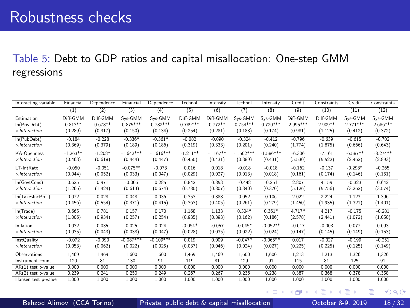#### Table 5: Debt to GDP ratios and capital misallocation: One-step GMM regressions

| Interacting variable | Financial  | Dependence | Financial   | Dependence  | Technol.   | Intensity  | Technol.    | Intensity   | Credit     | Constraints | Credit     | Constraints |
|----------------------|------------|------------|-------------|-------------|------------|------------|-------------|-------------|------------|-------------|------------|-------------|
|                      | (1)        | (2)        | (3)         | (4)         | (5)        | (6)        | (7)         | (8)         | (9)        | (10)        | (11)       | (12)        |
| Estimation           | Diff-GMM   | Diff-GMM   | Sys-GMM     | Sys-GMM     | Diff-GMM   | Diff-GMM   | Sys-GMM     | Sys-GMM     | Diff-GMM   | Diff-GMM    | Sys-GMM    | Sys-GMM     |
| In(PrivDebt)         | $0.813**$  | $0.678**$  | $0.875***$  | $0.782***$  | $0.789***$ | $0.772**$  | $0.754***$  | $0.720***$  | $2.995***$ | $2.909**$   | $2771***$  | $2686***$   |
| $\times$ Interaction | (0.289)    | (0.317)    | (0.150)     | (0.134)     | (0.254)    | (0.281)    | (0.183)     | (0.174)     | (0.981)    | (1.125)     | (0.412)    | (0.372)     |
| In(PubDebt)          | $-0.184$   | $-0.228$   | $-0.336*$   | $-0.361*$   | $-0.082$   | $-0.090$   | $-0.324$    | $-0.412$    | $-0.796$   | $-0.639$    | $-0.615$   | $-0.702$    |
| $\times$ Interaction | (0.369)    | (0.379)    | (0.189)     | (0.186)     | (0.319)    | (0.333)    | (0.201)     | (0.240)     | (1.774)    | (1.875)     | (0.666)    | (0.643)     |
| <b>KA-Openness</b>   | $-1.263**$ | $-1.208*$  | $-1.642***$ | $-1.616***$ | $-1.211**$ | $-1.167**$ | $-1.502***$ | $-1.586***$ | $-6.306$   | $-7.161$    | $-6.587**$ | $-8.274**$  |
| $\times$ Interaction | (0.463)    | (0.618)    | (0.444)     | (0.447)     | (0.450)    | (0.431)    | (0.389)     | (0.431)     | (5.530)    | (5.522)     | (2.462)    | (2.893)     |
| LT-IntRate           | $-0.050$   | $-0.051$   | $-0.075**$  | $-0.073$    | 0.016      | 0.018      | $-0.018$    | $-0.018$    | $-0.162$   | $-0.137$    | $-0.298*$  | $-0.265$    |
| $\times$ Interaction | (0.044)    | (0.052)    | (0.033)     | (0.047)     | (0.029)    | (0.027)    | (0.013)     | (0.018)     | (0.161)    | (0.174)     | (0.146)    | (0.151)     |
| In(GovtCons)         | 0.625      | 0.971      | $-0.006$    | 0.285       | 0.842      | 0.853      | $-0.448$    | $-0.251$    | 2.807      | 4.159       | $-0.323$   | 0.642       |
| $\times$ Interaction | (1.266)    | (1.424)    | (0.613)     | (0.674)     | (0.780)    | (0.807)    | (0.340)     | (0.370)     | (5.126)    | (5.756)     | (3.262)    | (3.574)     |
| In(TaxesIncProf)     | 0.072      | 0.028      | 0.048       | 0.036       | 0.353      | 0.388      | 0.052       | 0.106       | 2.022      | 2.224       | 1.123      | 1.396       |
| $\times$ Interaction | (0.456)    | (0.554)    | (0.371)     | (0.415)     | (0.363)    | (0.405)    | (0.261)     | (0.279)     | (1.450)    | (1.935)     | (1.321)    | (1.401)     |
| In(Trade)            | 0.665      | 0.781      | 0.157       | 0.170       | 1.168      | 1.133      | $0.304*$    | $0.361*$    | $4.717*$   | 4.217       | $-0.175$   | $-0.281$    |
| $\times$ Interaction | (1.006)    | (0.934)    | (0.257)     | (0.254)     | (0.935)    | (0.893)    | (0.162)     | (0.186)     | (2.578)    | (2.441)     | (1.072)    | (1.050)     |
| Inflation            | 0.032      | 0.035      | 0.025       | 0.024       | $-0.054*$  | $-0.057$   | $-0.045*$   | $-0.052**$  | $-0.017$   | $-0.003$    | 0.077      | 0.093       |
| $\times$ Interaction | (0.035)    | (0.043)    | (0.038)     | (0.047)     | (0.028)    | (0.035)    | (0.022)     | (0.024)     | (0.147)    | (0.145)     | (0.149)    | (0.153)     |
| InstQuality          | $-0.072$   | $-0.090$   | $-0.087***$ | $-0.109***$ | 0.019      | 0.009      | $-0.047*$   | $-0.065**$  | 0.017      | $-0.027$    | $-0.199$   | $-0.251$    |
| $\times$ Interaction | (0.053)    | (0.062)    | (0.022)     | (0.025)     | (0.037)    | (0.046)    | (0.024)     | (0.027)     | (0.225)    | (0.225)     | (0.125)    | (0.149)     |
| Observations         | 1.469      | 1,469      | 1.600       | 1,600       | 1.469      | 1,469      | 1.600       | 1,600       | 1,213      | 1,213       | 1.326      | 1,326       |
| Instrument count     | 120        | 81         | 130         | 91          | 119        | 81         | 129         | Q1          | 115        | 81          | 125        | 91          |
| $AR(1)$ test p-value | 0.000      | 0.000      | 0.000       | 0.000       | 0.000      | 0.000      | 0.000       | 0.000       | 0.000      | 0.000       | 0.000      | 0.000       |
| AR(2) test p-value   | 0.239      | 0.241      | 0.250       | 0.249       | 0.267      | 0.267      | 0.236       | 0.238       | 0.387      | 0.368       | 0.378      | 0.358       |
| Hansen test p-value  | 1.000      | 1.000      | 1.000       | 1.000       | 1.000      | 1.000      | 1.000       | 1.000       | 1.000      | 1.000       | 1.000      | 1.000       |

→ 4 B

э

**∢ ロ ▶ ィ 何 ▶ ィ**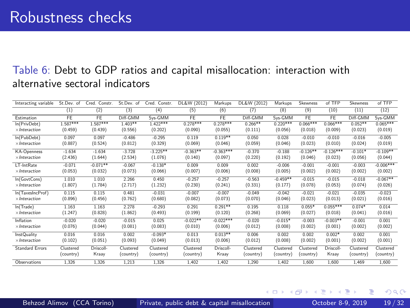#### Table 6: Debt to GDP ratios and capital misallocation: interaction with alternative sectoral indicators

| Interacting variable   | St.Dev. of | Cred.<br>Constr. | St.Dev. of | Cred. Constr. | DL&W (2012) | Markups     | DL&W (2012) | Markups    | Skewness   | of TFP      | Skewness  | of TFP      |
|------------------------|------------|------------------|------------|---------------|-------------|-------------|-------------|------------|------------|-------------|-----------|-------------|
|                        | $_{(1)}$   | $^{(2)}$         | (3)        | (4)           | (5)         | (6)         | (7)         | (8)        | (9)        | (10)        | (11)      | (12)        |
| Estimation             | FE         | FE               | Diff-GMM   | Sys-GMM       | FE          | FE          | Diff-GMM    | Sys-GMM    | FE         | FE          | Diff-GMM  | Sys-GMM     |
| In(PrivDebt)           | $1.587***$ | $1.587***$       | $1.403**$  | $1.422***$    | $0.278***$  | $0.278***$  | $0.266**$   | $0.220***$ | $0.066***$ | $0.066***$  | $0.052**$ | $0.065***$  |
| $\times$ Interaction   | (0.459)    | (0.439)          | (0.556)    | (0.202)       | (0.090)     | (0.055)     | (0.111)     | (0.056)    | (0.018)    | (0.009)     | (0.023)   | (0.019)     |
| In(PubDebt)            | 0.097      | 0.097            | $-0.486$   | $-0.295$      | 0.119       | $0.119**$   | 0.050       | 0.028      | $-0.010$   | $-0.010$    | $-0.016$  | $-0.005$    |
| $\times$ Interaction   | (0.887)    | (0.524)          | (0.812)    | (0.329)       | (0.069)     | (0.046)     | (0.059)     | (0.046)    | (0.023)    | (0.010)     | (0.024)   | (0.019)     |
| <b>KA-Openness</b>     | $-1.634$   | $-1.634$         | $-3.728$   | $-3.225**$    | $-0.363**$  | $-0.363***$ | $-0.370$    | $-0.188$   | $-0.126**$ | $-0.126***$ | $-0.101*$ | $-0.109**$  |
| $\times$ Interaction   | (2.436)    | (1.644)          | (2.534)    | (1.076)       | (0.140)     | (0.097)     | (0.220)     | (0.192)    | (0.046)    | (0.023)     | (0.056)   | (0.044)     |
| LT-IntRate             | $-0.071$   | $-0.071**$       | $-0.067$   | $-0.138*$     | 0.009       | 0.009       | 0.002       | $-0.006$   | $-0.001$   | $-0.001$    | $-0.003$  | $-0.006***$ |
| $\times$ Interaction   | (0.053)    | (0.032)          | (0.073)    | (0.066)       | (0.007)     | (0.006)     | (0.008)     | (0.005)    | (0.002)    | (0.002)     | (0.002)   | (0.002)     |
| In(GovtCons)           | 1.010      | 1.010            | 2.266      | 0.450         | $-0.257$    | $-0.257$    | $-0.563$    | $-0.459**$ | $-0.015$   | $-0.015$    | $-0.018$  | $-0.067**$  |
| $\times$ Interaction   | (1.807)    | (1.784)          | (2.717)    | (1.232)       | (0.230)     | (0.241)     | (0.331)     | (0.177)    | (0.078)    | (0.053)     | (0.074)   | (0.026)     |
| In(TaxesIncProf)       | 0.115      | 0.115            | 0.481      | $-0.031$      | $-0.007$    | $-0.007$    | $-0.049$    | $-0.042$   | $-0.021$   | $-0.021$    | $-0.035$  | $-0.023$    |
| $\times$ Interaction   | (0.896)    | (0.456)          | (0.762)    | (0.680)       | (0.082)     | (0.073)     | (0.070)     | (0.046)    | (0.023)    | (0.013)     | (0.021)   | (0.016)     |
| In(Trade)              | 1.163      | 1.163            | 2.278      | $-0.293$      | 0.291       | $0.291**$   | 0.195       | 0.118      | $0.055*$   | $0.055***$  | $0.074*$  | 0.014       |
| $\times$ Interaction   | (1.247)    | (0.828)          | (1.862)    | (0.493)       | (0.199)     | (0.120)     | (0.268)     | (0.069)    | (0.027)    | (0.018)     | (0.041)   | (0.016)     |
| Inflation              | $-0.020$   | $-0.020$         | $-0.015$   | 0.025         | $-0.022**$  | $-0.022***$ | $-0.020$    | $-0.015*$  | $-0.003$   | $-0.003**$  | $-0.001$  | 0.001       |
| $\times$ Interaction   | (0.076)    | (0.044)          | (0.081)    | (0.083)       | (0.010)     | (0.006)     | (0.012)     | (0.008)    | (0.002)    | (0.001)     | (0.002)   | (0.002)     |
| <b>InstQuality</b>     | 0.016      | 0.016            | 0.002      | $-0.093*$     | 0.013       | $0.013**$   | 0.006       | 0.002      | 0.002      | $0.002*$    | 0.002     | 0.001       |
| $\times$ Interaction   | (0.102)    | (0.051)          | (0.093)    | (0.049)       | (0.013)     | (0.006)     | (0.012)     | (0.008)    | (0.002)    | (0.001)     | (0.002)   | (0.001)     |
| <b>Standard Errors</b> | Clustered  | Driscoll-        | Clustered  | Clustered     | Clustered   | Driscoll-   | Clustered   | Clustered  | Clustered  | Driscoll-   | Clustered | Clustered   |
|                        | (country)  | Kraay            | (country)  | (country)     | (country)   | Kraay       | (country)   | (country)  | (country)  | Kraay       | (country) | (country)   |
| Observations           | 1.326      | 1.326            | 1.213      | 1.326         | 1.402       | 1.402       | 1.290       | 1.402      | 1.600      | 1.600       | 1.469     | 1.600       |

4 **E** F

4 何 ▶ - 4

Behzod Alimov (CCA Torino) [Private, public debt & capital misallocation](#page-0-0) October 8-9, 2019 19/32

 $QQQ$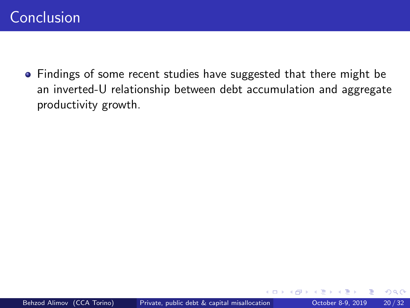<span id="page-26-0"></span>• Findings of some recent studies have suggested that there might be an inverted-U relationship between debt accumulation and aggregate productivity growth.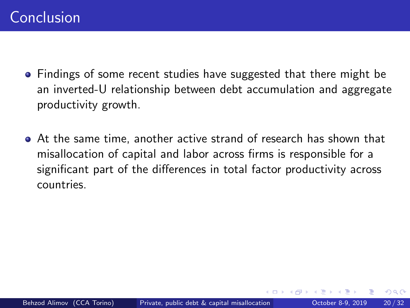- Findings of some recent studies have suggested that there might be an inverted-U relationship between debt accumulation and aggregate productivity growth.
- At the same time, another active strand of research has shown that misallocation of capital and labor across firms is responsible for a significant part of the differences in total factor productivity across countries.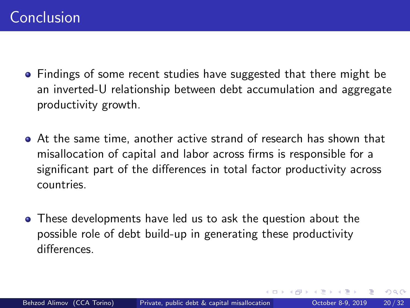- Findings of some recent studies have suggested that there might be an inverted-U relationship between debt accumulation and aggregate productivity growth.
- At the same time, another active strand of research has shown that misallocation of capital and labor across firms is responsible for a significant part of the differences in total factor productivity across countries.
- These developments have led us to ask the question about the possible role of debt build-up in generating these productivity differences.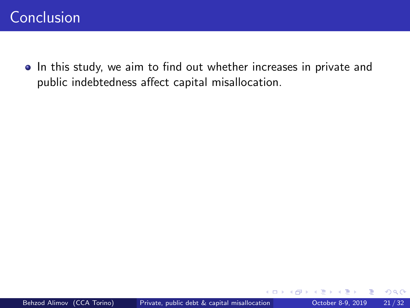• In this study, we aim to find out whether increases in private and public indebtedness affect capital misallocation.

 $\leftarrow$   $\Box$ 

← ← ←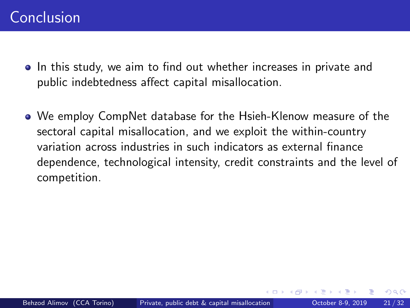- In this study, we aim to find out whether increases in private and public indebtedness affect capital misallocation.
- We employ CompNet database for the Hsieh-Klenow measure of the sectoral capital misallocation, and we exploit the within-country variation across industries in such indicators as external finance dependence, technological intensity, credit constraints and the level of competition.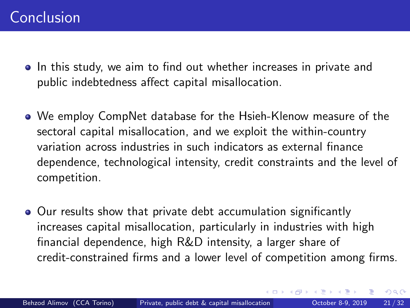- In this study, we aim to find out whether increases in private and public indebtedness affect capital misallocation.
- We employ CompNet database for the Hsieh-Klenow measure of the sectoral capital misallocation, and we exploit the within-country variation across industries in such indicators as external finance dependence, technological intensity, credit constraints and the level of competition.
- Our results show that private debt accumulation significantly increases capital misallocation, particularly in industries with high financial dependence, high R&D intensity, a larger share of credit-constrained firms and a lower level of competition among firms.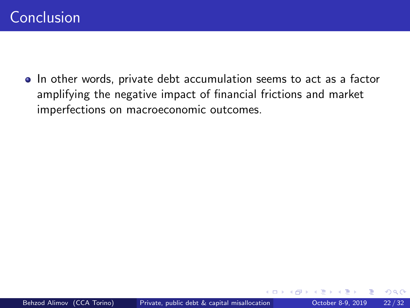• In other words, private debt accumulation seems to act as a factor amplifying the negative impact of financial frictions and market imperfections on macroeconomic outcomes.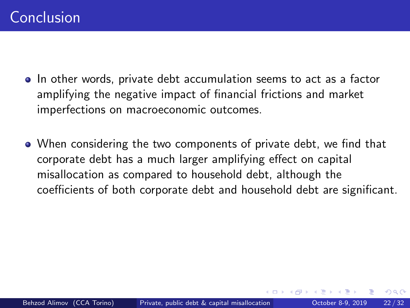- In other words, private debt accumulation seems to act as a factor amplifying the negative impact of financial frictions and market imperfections on macroeconomic outcomes.
- When considering the two components of private debt, we find that corporate debt has a much larger amplifying effect on capital misallocation as compared to household debt, although the coefficients of both corporate debt and household debt are significant.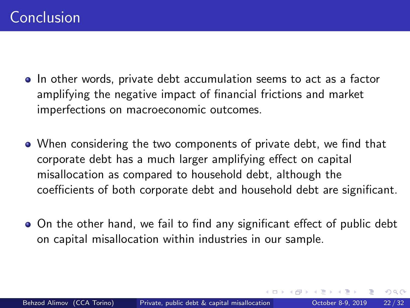- In other words, private debt accumulation seems to act as a factor amplifying the negative impact of financial frictions and market imperfections on macroeconomic outcomes.
- When considering the two components of private debt, we find that corporate debt has a much larger amplifying effect on capital misallocation as compared to household debt, although the coefficients of both corporate debt and household debt are significant.
- On the other hand, we fail to find any significant effect of public debt on capital misallocation within industries in our sample.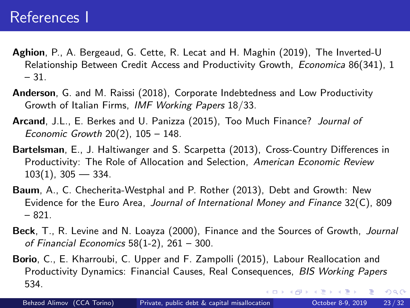- <span id="page-35-2"></span>Aghion, P., A. Bergeaud, G. Cette, R. Lecat and H. Maghin (2019), The Inverted-U Relationship Between Credit Access and Productivity Growth, Economica 86(341), 1 – 31.
- <span id="page-35-1"></span>Anderson, G. and M. Raissi (2018), Corporate Indebtedness and Low Productivity Growth of Italian Firms, IMF Working Papers 18/33.
- <span id="page-35-5"></span>Arcand, J.L., E. Berkes and U. Panizza (2015), Too Much Finance? Journal of Economic Growth 20(2), 105 – 148.
- <span id="page-35-3"></span>Bartelsman, E., J. Haltiwanger and S. Scarpetta (2013), Cross-Country Differences in Productivity: The Role of Allocation and Selection, American Economic Review  $103(1)$ ,  $305 - 334$ .
- <span id="page-35-6"></span>Baum, A., C. Checherita-Westphal and P. Rother (2013), Debt and Growth: New Evidence for the Euro Area, Journal of International Money and Finance  $32(C)$ , 809 – 821.
- <span id="page-35-4"></span>Beck, T., R. Levine and N. Loayza (2000), Finance and the Sources of Growth, Journal of Financial Economics 58(1-2), 261 – 300.
- <span id="page-35-0"></span>Borio, C., E. Kharroubi, C. Upper and F. Zampolli (2015), Labour Reallocation and Productivity Dynamics: Financial Causes, Real Consequences, BIS Working Papers 534.  $299$ イロト イ押ト イヨト イヨト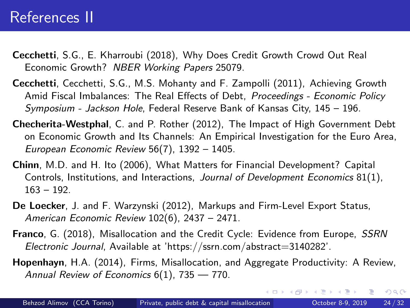### References II

- <span id="page-36-0"></span>Cecchetti, S.G., E. Kharroubi (2018), Why Does Credit Growth Crowd Out Real Economic Growth? NBER Working Papers 25079.
- <span id="page-36-2"></span>Cecchetti, Cecchetti, S.G., M.S. Mohanty and F. Zampolli (2011), Achieving Growth Amid Fiscal Imbalances: The Real Effects of Debt, Proceedings - Economic Policy Symposium - Jackson Hole, Federal Reserve Bank of Kansas City, 145 – 196.
- <span id="page-36-3"></span>Checherita-Westphal, C. and P. Rother (2012), The Impact of High Government Debt on Economic Growth and Its Channels: An Empirical Investigation for the Euro Area, European Economic Review 56(7), 1392 – 1405.
- <span id="page-36-4"></span>Chinn, M.D. and H. Ito (2006), What Matters for Financial Development? Capital Controls, Institutions, and Interactions, Journal of Development Economics 81(1),  $163 - 192$
- <span id="page-36-6"></span>De Loecker, J. and F. Warzynski (2012), Markups and Firm-Level Export Status, American Economic Review 102(6), 2437 – 2471.
- <span id="page-36-5"></span>Franco, G. (2018), Misallocation and the Credit Cycle: Evidence from Europe, SSRN Electronic Journal, Available at 'https://ssrn.com/abstract=3140282'.
- <span id="page-36-1"></span>Hopenhayn, H.A. (2014), Firms, Misallocation, and Aggregate Productivity: A Review, Annual Review of Economics 6(1), 735 - 770.

 $QQ$ 

イロト イ押 トイヨ トイヨト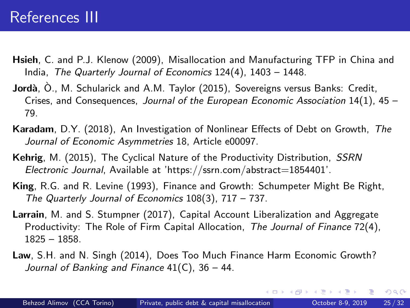### References III

- <span id="page-37-0"></span>Hsieh, C. and P.J. Klenow (2009), Misallocation and Manufacturing TFP in China and India, The Quarterly Journal of Economics 124(4), 1403 – 1448.
- <span id="page-37-4"></span>Jordà, O., M. Schularick and A.M. Taylor (2015), Sovereigns versus Banks: Credit, Crises, and Consequences, Journal of the European Economic Association  $14(1)$ ,  $45 -$ 79.
- <span id="page-37-3"></span>Karadam, D.Y. (2018), An Investigation of Nonlinear Effects of Debt on Growth, The Journal of Economic Asymmetries 18, Article e00097.
- <span id="page-37-5"></span>Kehrig, M. (2015), The Cyclical Nature of the Productivity Distribution, SSRN Electronic Journal, Available at 'https://ssrn.com/abstract=1854401'.
- <span id="page-37-1"></span>King, R.G. and R. Levine (1993), Finance and Growth: Schumpeter Might Be Right, The Quarterly Journal of Economics 108(3), 717 – 737.
- <span id="page-37-6"></span>Larrain, M. and S. Stumpner (2017), Capital Account Liberalization and Aggregate Productivity: The Role of Firm Capital Allocation, The Journal of Finance 72(4), 1825 – 1858.
- <span id="page-37-2"></span>Law, S.H. and N. Singh (2014), Does Too Much Finance Harm Economic Growth? Journal of Banking and Finance 41(C), 36 – 44.

イロト イ押 トイヨ トイヨト

G.

 $QQ$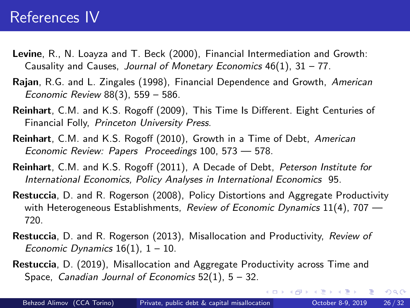### References IV

- <span id="page-38-4"></span>Levine, R., N. Loayza and T. Beck (2000), Financial Intermediation and Growth: Causality and Causes, Journal of Monetary Economics  $46(1)$ ,  $31 - 77$ .
- <span id="page-38-3"></span>Rajan, R.G. and L. Zingales (1998), Financial Dependence and Growth, American Economic Review 88(3), 559 – 586.
- <span id="page-38-6"></span>Reinhart, C.M. and K.S. Rogoff (2009), This Time Is Different. Eight Centuries of Financial Folly, Princeton University Press.
- <span id="page-38-5"></span>Reinhart, C.M. and K.S. Rogoff (2010), Growth in a Time of Debt, American Economic Review: Papers Proceedings 100, 573 — 578.
- <span id="page-38-7"></span>Reinhart, C.M. and K.S. Rogoff (2011), A Decade of Debt, Peterson Institute for International Economics, Policy Analyses in International Economics 95.
- <span id="page-38-0"></span>Restuccia, D. and R. Rogerson (2008), Policy Distortions and Aggregate Productivity with Heterogeneous Establishments, Review of Economic Dynamics  $11(4)$ , 707 – 720.
- <span id="page-38-1"></span>Restuccia, D. and R. Rogerson (2013), Misallocation and Productivity, Review of Economic Dynamics  $16(1)$ ,  $1 - 10$ .
- <span id="page-38-2"></span>Restuccia, D. (2019), Misallocation and Aggregate Productivity across Time and Space, Canadian Journal of Economics  $52(1)$ ,  $5 - 32$ .

G.

 $QQ$ 

イロト イ押 トイヨ トイヨト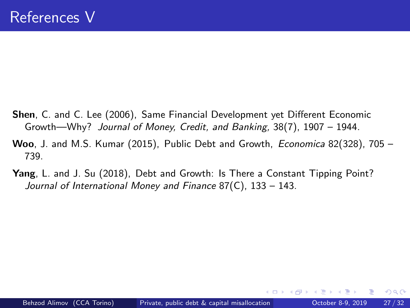- <span id="page-39-0"></span>Shen, C. and C. Lee (2006), Same Financial Development yet Different Economic Growth—Why? Journal of Money, Credit, and Banking, 38(7), 1907 – 1944.
- <span id="page-39-1"></span>Woo, J. and M.S. Kumar (2015), Public Debt and Growth, *Economica* 82(328), 705 -739.
- <span id="page-39-2"></span>Yang, L. and J. Su (2018), Debt and Growth: Is There a Constant Tipping Point? Journal of International Money and Finance 87(C), 133 – 143.

 $\leftarrow$   $\Box$ 

 $QQ$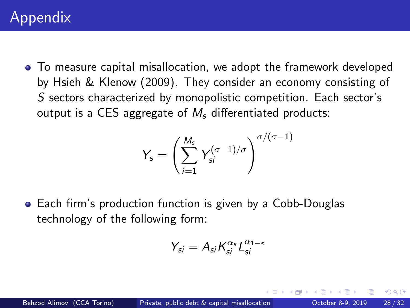<span id="page-40-0"></span>To measure capital misallocation, we adopt the framework developed by [Hsieh & Klenow \(2009\)](#page-37-0). They consider an economy consisting of S sectors characterized by monopolistic competition. Each sector's output is a CES aggregate of  $M_s$  differentiated products:

$$
Y_s = \left(\sum_{i=1}^{M_s} Y_{si}^{(\sigma-1)/\sigma}\right)^{\sigma/(\sigma-1)}
$$

Each firm's production function is given by a Cobb-Douglas technology of the following form:

$$
Y_{si} = A_{si} K_{si}^{\alpha_s} L_{si}^{\alpha_{1-s}}
$$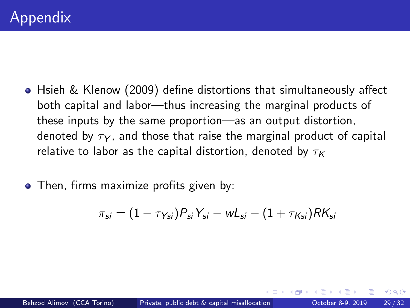- [Hsieh & Klenow \(2009\)](#page-37-0) define distortions that simultaneously affect both capital and labor—thus increasing the marginal products of these inputs by the same proportion—as an output distortion, denoted by  $\tau_Y$ , and those that raise the marginal product of capital relative to labor as the capital distortion, denoted by  $\tau_K$
- Then, firms maximize profits given by:

$$
\pi_{\textit{si}} = (1 - \tau_{\textit{Ysi}}) P_{\textit{si}} Y_{\textit{si}} - wL_{\textit{si}} - (1 + \tau_{\textit{Ksi}}) R K_{\textit{si}}
$$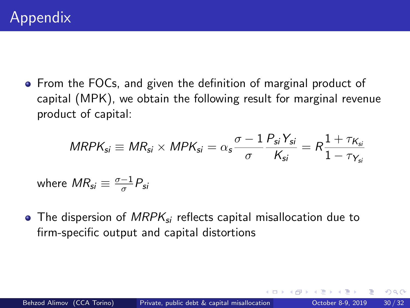• From the FOCs, and given the definition of marginal product of capital (MPK), we obtain the following result for marginal revenue product of capital:

$$
MRPK_{si} \equiv MR_{si} \times MPK_{si} = \alpha_s \frac{\sigma - 1}{\sigma} \frac{P_{si} Y_{si}}{K_{si}} = R \frac{1 + \tau_{K_{si}}}{1 - \tau_{Y_{si}}}
$$

where  $\mathit{MR}_{\mathit{si}} \equiv \frac{\sigma-1}{\sigma}$  $\frac{-1}{\sigma}P_{si}$ 

• The dispersion of  $MRPK_{si}$  reflects capital misallocation due to firm-specific output and capital distortions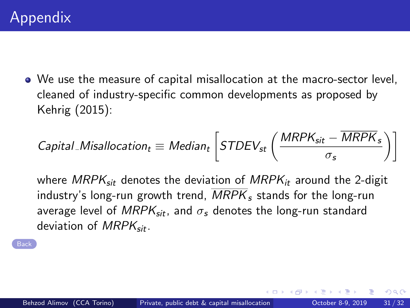We use the measure of capital misallocation at the macro-sector level, cleaned of industry-specific common developments as proposed by [Kehrig \(2015\)](#page-37-5):

$$
{\it Capital\_Ms allocation}_{t} \equiv \textit{Median}_{t} \left[ \textit{STDEV}_{st} \left( \frac{\textit{MRPK}_{sit} - \overline{\textit{MRPK}}_s }{\sigma_s} \right) \right]
$$

where  $MRPK_{sir}$  denotes the deviation of  $MRPK_{ir}$  around the 2-digit industry's long-run growth trend,  $MRPK<sub>s</sub>$  stands for the long-run average level of  $MRPK_{sit}$ , and  $\sigma_s$  denotes the long-run standard deviation of  $MRPK<sub>sit</sub>$ .